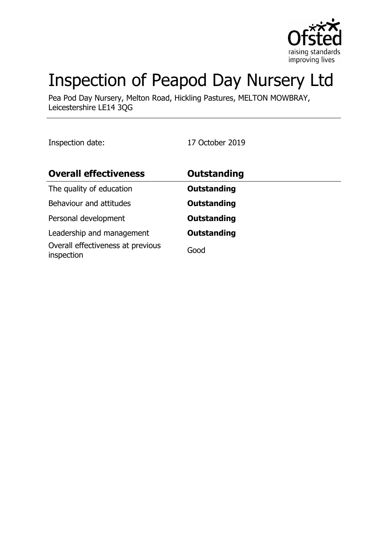

# Inspection of Peapod Day Nursery Ltd

Pea Pod Day Nursery, Melton Road, Hickling Pastures, MELTON MOWBRAY, Leicestershire LE14 3QG

Inspection date: 17 October 2019

| <b>Overall effectiveness</b>                    | <b>Outstanding</b> |
|-------------------------------------------------|--------------------|
| The quality of education                        | <b>Outstanding</b> |
| Behaviour and attitudes                         | <b>Outstanding</b> |
| Personal development                            | <b>Outstanding</b> |
| Leadership and management                       | <b>Outstanding</b> |
| Overall effectiveness at previous<br>inspection | Good               |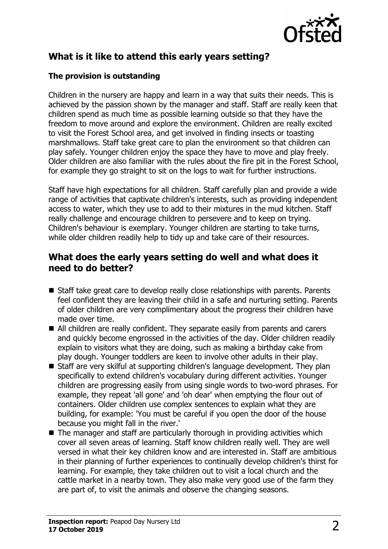

# **What is it like to attend this early years setting?**

#### **The provision is outstanding**

Children in the nursery are happy and learn in a way that suits their needs. This is achieved by the passion shown by the manager and staff. Staff are really keen that children spend as much time as possible learning outside so that they have the freedom to move around and explore the environment. Children are really excited to visit the Forest School area, and get involved in finding insects or toasting marshmallows. Staff take great care to plan the environment so that children can play safely. Younger children enjoy the space they have to move and play freely. Older children are also familiar with the rules about the fire pit in the Forest School, for example they go straight to sit on the logs to wait for further instructions.

Staff have high expectations for all children. Staff carefully plan and provide a wide range of activities that captivate children's interests, such as providing independent access to water, which they use to add to their mixtures in the mud kitchen. Staff really challenge and encourage children to persevere and to keep on trying. Children's behaviour is exemplary. Younger children are starting to take turns, while older children readily help to tidy up and take care of their resources.

### **What does the early years setting do well and what does it need to do better?**

- $\blacksquare$  Staff take great care to develop really close relationships with parents. Parents feel confident they are leaving their child in a safe and nurturing setting. Parents of older children are very complimentary about the progress their children have made over time.
- $\blacksquare$  All children are really confident. They separate easily from parents and carers and quickly become engrossed in the activities of the day. Older children readily explain to visitors what they are doing, such as making a birthday cake from play dough. Younger toddlers are keen to involve other adults in their play.
- $\blacksquare$  Staff are very skilful at supporting children's language development. They plan specifically to extend children's vocabulary during different activities. Younger children are progressing easily from using single words to two-word phrases. For example, they repeat 'all gone' and 'oh dear' when emptying the flour out of containers. Older children use complex sentences to explain what they are building, for example: 'You must be careful if you open the door of the house because you might fall in the river.'
- $\blacksquare$  The manager and staff are particularly thorough in providing activities which cover all seven areas of learning. Staff know children really well. They are well versed in what their key children know and are interested in. Staff are ambitious in their planning of further experiences to continually develop children's thirst for learning. For example, they take children out to visit a local church and the cattle market in a nearby town. They also make very good use of the farm they are part of, to visit the animals and observe the changing seasons.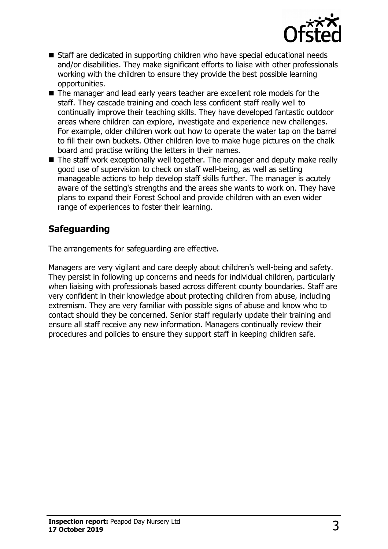

- Staff are dedicated in supporting children who have special educational needs and/or disabilities. They make significant efforts to liaise with other professionals working with the children to ensure they provide the best possible learning opportunities.
- The manager and lead early years teacher are excellent role models for the staff. They cascade training and coach less confident staff really well to continually improve their teaching skills. They have developed fantastic outdoor areas where children can explore, investigate and experience new challenges. For example, older children work out how to operate the water tap on the barrel to fill their own buckets. Other children love to make huge pictures on the chalk board and practise writing the letters in their names.
- $\blacksquare$  The staff work exceptionally well together. The manager and deputy make really good use of supervision to check on staff well-being, as well as setting manageable actions to help develop staff skills further. The manager is acutely aware of the setting's strengths and the areas she wants to work on. They have plans to expand their Forest School and provide children with an even wider range of experiences to foster their learning.

## **Safeguarding**

The arrangements for safeguarding are effective.

Managers are very vigilant and care deeply about children's well-being and safety. They persist in following up concerns and needs for individual children, particularly when liaising with professionals based across different county boundaries. Staff are very confident in their knowledge about protecting children from abuse, including extremism. They are very familiar with possible signs of abuse and know who to contact should they be concerned. Senior staff regularly update their training and ensure all staff receive any new information. Managers continually review their procedures and policies to ensure they support staff in keeping children safe.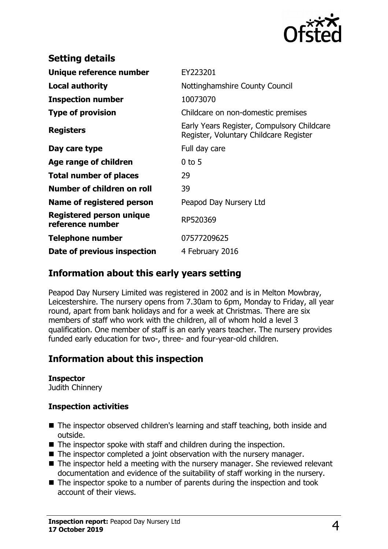

| <b>Setting details</b>                              |                                                                                      |
|-----------------------------------------------------|--------------------------------------------------------------------------------------|
| Unique reference number                             | EY223201                                                                             |
| <b>Local authority</b>                              | Nottinghamshire County Council                                                       |
| <b>Inspection number</b>                            | 10073070                                                                             |
| <b>Type of provision</b>                            | Childcare on non-domestic premises                                                   |
| <b>Registers</b>                                    | Early Years Register, Compulsory Childcare<br>Register, Voluntary Childcare Register |
| Day care type                                       | Full day care                                                                        |
| Age range of children                               | $0$ to 5                                                                             |
| <b>Total number of places</b>                       | 29                                                                                   |
| Number of children on roll                          | 39                                                                                   |
| Name of registered person                           | Peapod Day Nursery Ltd                                                               |
| <b>Registered person unique</b><br>reference number | RP520369                                                                             |
| Telephone number                                    | 07577209625                                                                          |
| Date of previous inspection                         | 4 February 2016                                                                      |

## **Information about this early years setting**

Peapod Day Nursery Limited was registered in 2002 and is in Melton Mowbray, Leicestershire. The nursery opens from 7.30am to 6pm, Monday to Friday, all year round, apart from bank holidays and for a week at Christmas. There are six members of staff who work with the children, all of whom hold a level 3 qualification. One member of staff is an early years teacher. The nursery provides funded early education for two-, three- and four-year-old children.

## **Information about this inspection**

#### **Inspector**

Judith Chinnery

#### **Inspection activities**

- $\blacksquare$  The inspector observed children's learning and staff teaching, both inside and outside.
- $\blacksquare$  The inspector spoke with staff and children during the inspection.
- $\blacksquare$  The inspector completed a joint observation with the nursery manager.
- $\blacksquare$  The inspector held a meeting with the nursery manager. She reviewed relevant documentation and evidence of the suitability of staff working in the nursery.
- $\blacksquare$  The inspector spoke to a number of parents during the inspection and took account of their views.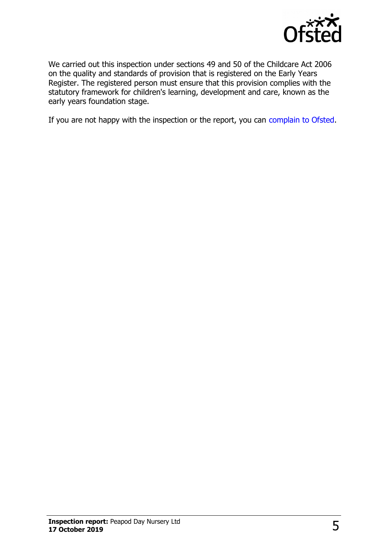

We carried out this inspection under sections 49 and 50 of the Childcare Act 2006 on the quality and standards of provision that is registered on the Early Years Register. The registered person must ensure that this provision complies with the statutory framework for children's learning, development and care, known as the early years foundation stage.

If you are not happy with the inspection or the report, you can [complain to Ofsted.](http://www.gov.uk/complain-ofsted-report)